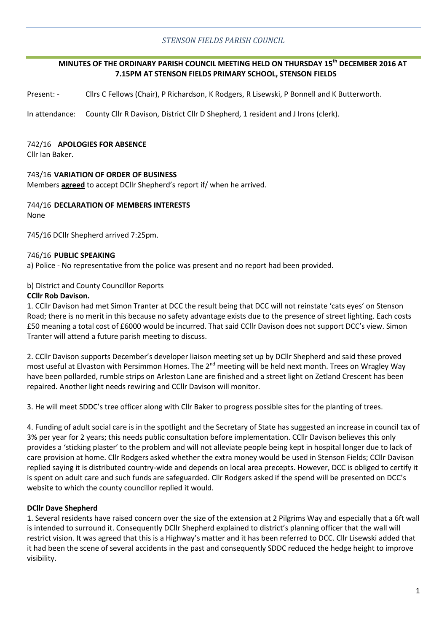# *STENSON FIELDS PARISH COUNCIL*

# **MINUTES OF THE ORDINARY PARISH COUNCIL MEETING HELD ON THURSDAY 15th DECEMBER 2016 AT 7.15PM AT STENSON FIELDS PRIMARY SCHOOL, STENSON FIELDS**

Present: - Cllrs C Fellows (Chair), P Richardson, K Rodgers, R Lisewski, P Bonnell and K Butterworth.

In attendance: County Cllr R Davison, District Cllr D Shepherd, 1 resident and J Irons (clerk).

### 742/16 **APOLOGIES FOR ABSENCE**

Cllr Ian Baker.

### 743/16 **VARIATION OF ORDER OF BUSINESS**

Members **agreed** to accept DCllr Shepherd's report if/ when he arrived.

#### 744/16 **DECLARATION OF MEMBERS INTERESTS** None

745/16 DCllr Shepherd arrived 7:25pm.

### 746/16 **PUBLIC SPEAKING**

a) Police - No representative from the police was present and no report had been provided.

### b) District and County Councillor Reports

### **CCllr Rob Davison.**

1. CCllr Davison had met Simon Tranter at DCC the result being that DCC will not reinstate 'cats eyes' on Stenson Road; there is no merit in this because no safety advantage exists due to the presence of street lighting. Each costs £50 meaning a total cost of £6000 would be incurred. That said CCllr Davison does not support DCC's view. Simon Tranter will attend a future parish meeting to discuss.

2. CCllr Davison supports December's developer liaison meeting set up by DCllr Shepherd and said these proved most useful at Elvaston with Persimmon Homes. The 2<sup>nd</sup> meeting will be held next month. Trees on Wragley Way have been pollarded, rumble strips on Arleston Lane are finished and a street light on Zetland Crescent has been repaired. Another light needs rewiring and CCllr Davison will monitor.

3. He will meet SDDC's tree officer along with Cllr Baker to progress possible sites for the planting of trees.

4. Funding of adult social care is in the spotlight and the Secretary of State has suggested an increase in council tax of 3% per year for 2 years; this needs public consultation before implementation. CCllr Davison believes this only provides a 'sticking plaster' to the problem and will not alleviate people being kept in hospital longer due to lack of care provision at home. Cllr Rodgers asked whether the extra money would be used in Stenson Fields; CCllr Davison replied saying it is distributed country-wide and depends on local area precepts. However, DCC is obliged to certify it is spent on adult care and such funds are safeguarded. Cllr Rodgers asked if the spend will be presented on DCC's website to which the county councillor replied it would.

### **DCllr Dave Shepherd**

1. Several residents have raised concern over the size of the extension at 2 Pilgrims Way and especially that a 6ft wall is intended to surround it. Consequently DCllr Shepherd explained to district's planning officer that the wall will restrict vision. It was agreed that this is a Highway's matter and it has been referred to DCC. Cllr Lisewski added that it had been the scene of several accidents in the past and consequently SDDC reduced the hedge height to improve visibility.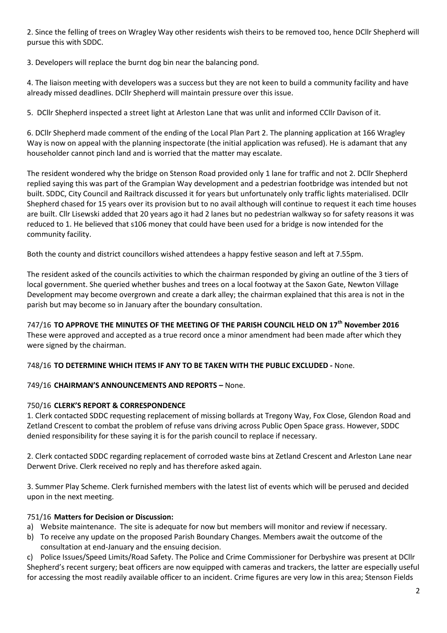2. Since the felling of trees on Wragley Way other residents wish theirs to be removed too, hence DCllr Shepherd will pursue this with SDDC.

3. Developers will replace the burnt dog bin near the balancing pond.

4. The liaison meeting with developers was a success but they are not keen to build a community facility and have already missed deadlines. DCllr Shepherd will maintain pressure over this issue.

5. DCllr Shepherd inspected a street light at Arleston Lane that was unlit and informed CCllr Davison of it.

6. DCllr Shepherd made comment of the ending of the Local Plan Part 2. The planning application at 166 Wragley Way is now on appeal with the planning inspectorate (the initial application was refused). He is adamant that any householder cannot pinch land and is worried that the matter may escalate.

The resident wondered why the bridge on Stenson Road provided only 1 lane for traffic and not 2. DCllr Shepherd replied saying this was part of the Grampian Way development and a pedestrian footbridge was intended but not built. SDDC, City Council and Railtrack discussed it for years but unfortunately only traffic lights materialised. DCllr Shepherd chased for 15 years over its provision but to no avail although will continue to request it each time houses are built. Cllr Lisewski added that 20 years ago it had 2 lanes but no pedestrian walkway so for safety reasons it was reduced to 1. He believed that s106 money that could have been used for a bridge is now intended for the community facility.

Both the county and district councillors wished attendees a happy festive season and left at 7.55pm.

The resident asked of the councils activities to which the chairman responded by giving an outline of the 3 tiers of local government. She queried whether bushes and trees on a local footway at the Saxon Gate, Newton Village Development may become overgrown and create a dark alley; the chairman explained that this area is not in the parish but may become so in January after the boundary consultation.

747/16 **TO APPROVE THE MINUTES OF THE MEETING OF THE PARISH COUNCIL HELD ON 17th November 2016** These were approved and accepted as a true record once a minor amendment had been made after which they were signed by the chairman.

748/16 **TO DETERMINE WHICH ITEMS IF ANY TO BE TAKEN WITH THE PUBLIC EXCLUDED -** None.

# 749/16 **CHAIRMAN'S ANNOUNCEMENTS AND REPORTS –** None.

# 750/16 **CLERK'S REPORT & CORRESPONDENCE**

1. Clerk contacted SDDC requesting replacement of missing bollards at Tregony Way, Fox Close, Glendon Road and Zetland Crescent to combat the problem of refuse vans driving across Public Open Space grass. However, SDDC denied responsibility for these saying it is for the parish council to replace if necessary.

2. Clerk contacted SDDC regarding replacement of corroded waste bins at Zetland Crescent and Arleston Lane near Derwent Drive. Clerk received no reply and has therefore asked again.

3. Summer Play Scheme. Clerk furnished members with the latest list of events which will be perused and decided upon in the next meeting.

# 751/16 **Matters for Decision or Discussion:**

- a) Website maintenance. The site is adequate for now but members will monitor and review if necessary.
- b) To receive any update on the proposed Parish Boundary Changes. Members await the outcome of the consultation at end-January and the ensuing decision.

c) Police Issues/Speed Limits/Road Safety. The Police and Crime Commissioner for Derbyshire was present at DCllr Shepherd's recent surgery; beat officers are now equipped with cameras and trackers, the latter are especially useful for accessing the most readily available officer to an incident. Crime figures are very low in this area; Stenson Fields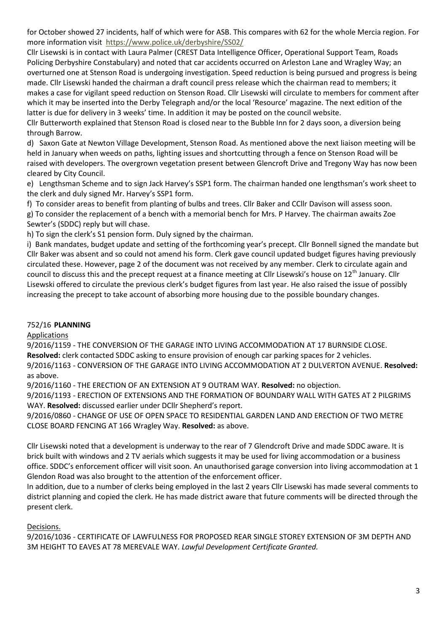for October showed 27 incidents, half of which were for ASB. This compares with 62 for the whole Mercia region. For more information visit <https://www.police.uk/derbyshire/SS02/>

Cllr Lisewski is in contact with Laura Palmer (CREST Data Intelligence Officer, Operational Support Team, Roads Policing Derbyshire Constabulary) and noted that car accidents occurred on Arleston Lane and Wragley Way; an overturned one at Stenson Road is undergoing investigation. Speed reduction is being pursued and progress is being made. Cllr Lisewski handed the chairman a draft council press release which the chairman read to members; it makes a case for vigilant speed reduction on Stenson Road. Cllr Lisewski will circulate to members for comment after which it may be inserted into the Derby Telegraph and/or the local 'Resource' magazine. The next edition of the latter is due for delivery in 3 weeks' time. In addition it may be posted on the council website.

Cllr Butterworth explained that Stenson Road is closed near to the Bubble Inn for 2 days soon, a diversion being through Barrow.

d) Saxon Gate at Newton Village Development, Stenson Road. As mentioned above the next liaison meeting will be held in January when weeds on paths, lighting issues and shortcutting through a fence on Stenson Road will be raised with developers. The overgrown vegetation present between Glencroft Drive and Tregony Way has now been cleared by City Council.

e) Lengthsman Scheme and to sign Jack Harvey's SSP1 form. The chairman handed one lengthsman's work sheet to the clerk and duly signed Mr. Harvey's SSP1 form.

f) To consider areas to benefit from planting of bulbs and trees. Cllr Baker and CCllr Davison will assess soon.

g) To consider the replacement of a bench with a memorial bench for Mrs. P Harvey. The chairman awaits Zoe Sewter's (SDDC) reply but will chase.

h) To sign the clerk's S1 pension form. Duly signed by the chairman.

i) Bank mandates, budget update and setting of the forthcoming year's precept. Cllr Bonnell signed the mandate but Cllr Baker was absent and so could not amend his form. Clerk gave council updated budget figures having previously circulated these. However, page 2 of the document was not received by any member. Clerk to circulate again and council to discuss this and the precept request at a finance meeting at Cllr Lisewski's house on  $12^{th}$  January. Cllr Lisewski offered to circulate the previous clerk's budget figures from last year. He also raised the issue of possibly increasing the precept to take account of absorbing more housing due to the possible boundary changes.

# 752/16 **PLANNING**

Applications

9/2016/1159 - THE CONVERSION OF THE GARAGE INTO LIVING ACCOMMODATION AT 17 BURNSIDE CLOSE.

**Resolved:** clerk contacted SDDC asking to ensure provision of enough car parking spaces for 2 vehicles.

9/2016/1163 - CONVERSION OF THE GARAGE INTO LIVING ACCOMMODATION AT 2 DULVERTON AVENUE. **Resolved:** as above.

9/2016/1160 - THE ERECTION OF AN EXTENSION AT 9 OUTRAM WAY. **Resolved:** no objection.

9/2016/1193 - ERECTION OF EXTENSIONS AND THE FORMATION OF BOUNDARY WALL WITH GATES AT 2 PILGRIMS WAY. **Resolved:** discussed earlier under DCllr Shepherd's report.

9/2016/0860 - CHANGE OF USE OF OPEN SPACE TO RESIDENTIAL GARDEN LAND AND ERECTION OF TWO METRE CLOSE BOARD FENCING AT 166 Wragley Way. **Resolved:** as above.

Cllr Lisewski noted that a development is underway to the rear of 7 Glendcroft Drive and made SDDC aware. It is brick built with windows and 2 TV aerials which suggests it may be used for living accommodation or a business office. SDDC's enforcement officer will visit soon. An unauthorised garage conversion into living accommodation at 1 Glendon Road was also brought to the attention of the enforcement officer.

In addition, due to a number of clerks being employed in the last 2 years Cllr Lisewski has made several comments to district planning and copied the clerk. He has made district aware that future comments will be directed through the present clerk.

Decisions.

9/2016/1036 - CERTIFICATE OF LAWFULNESS FOR PROPOSED REAR SINGLE STOREY EXTENSION OF 3M DEPTH AND 3M HEIGHT TO EAVES AT 78 MEREVALE WAY. *Lawful Development Certificate Granted.*